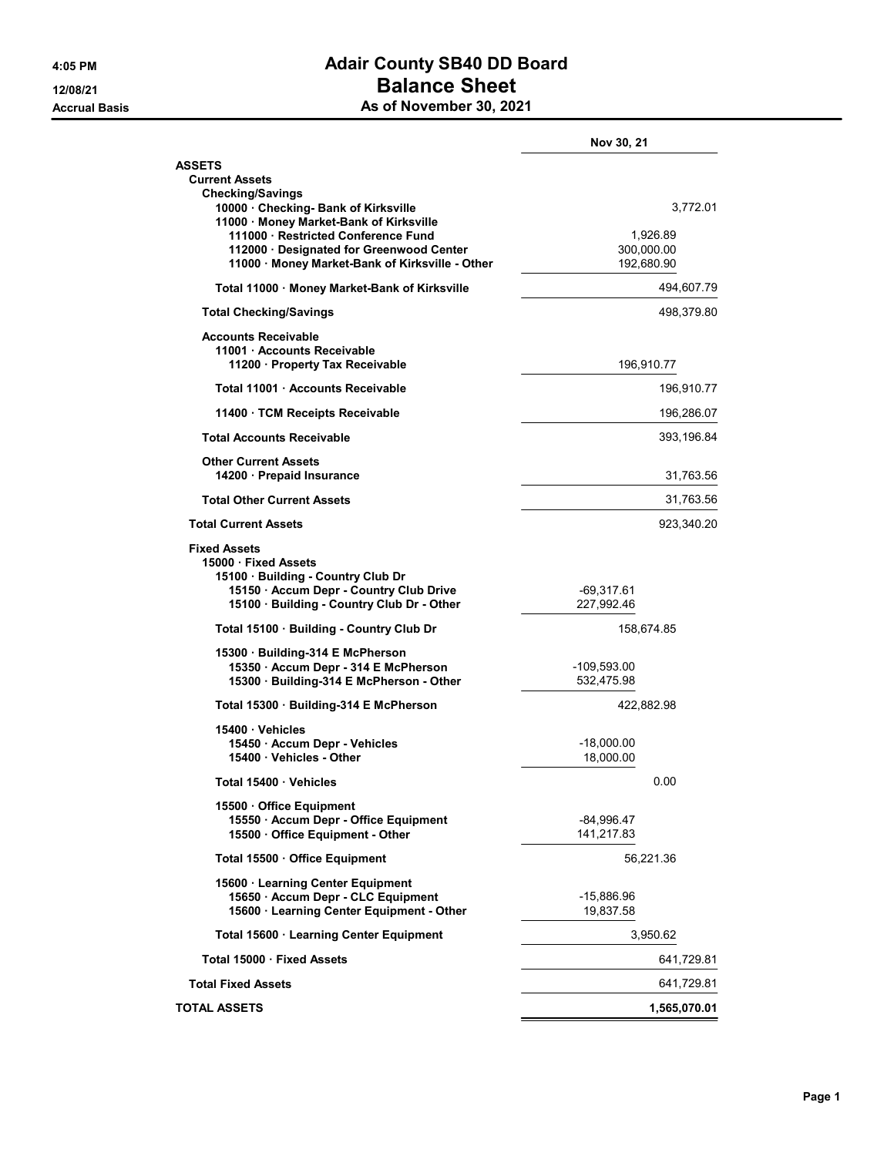## 4:05 PM Adair County SB40 DD Board 12/08/21 Balance Sheet As of November 30, 2021

|                                                                                  | Nov 30, 21                |
|----------------------------------------------------------------------------------|---------------------------|
| ASSETS                                                                           |                           |
| <b>Current Assets</b><br>Checking/Savings                                        |                           |
| 10000 · Checking- Bank of Kirksville                                             | 3,772.01                  |
| 11000 · Money Market-Bank of Kirksville<br>111000 · Restricted Conference Fund   | 1.926.89                  |
| 112000 Designated for Greenwood Center                                           | 300,000.00                |
| 11000 · Money Market-Bank of Kirksville - Other                                  | 192,680.90                |
| Total 11000 · Money Market-Bank of Kirksville                                    | 494,607.79                |
| <b>Total Checking/Savings</b>                                                    | 498,379.80                |
| <b>Accounts Receivable</b>                                                       |                           |
| 11001 Accounts Receivable<br>11200 · Property Tax Receivable                     | 196,910.77                |
| Total 11001 Accounts Receivable                                                  | 196,910.77                |
| 11400 · TCM Receipts Receivable                                                  | 196,286.07                |
| <b>Total Accounts Receivable</b>                                                 | 393,196.84                |
|                                                                                  |                           |
| <b>Other Current Assets</b><br>14200 · Prepaid Insurance                         | 31,763.56                 |
| <b>Total Other Current Assets</b>                                                | 31,763.56                 |
| <b>Total Current Assets</b>                                                      | 923,340.20                |
| <b>Fixed Assets</b>                                                              |                           |
| 15000 · Fixed Assets<br>15100 · Building - Country Club Dr                       |                           |
| 15150 · Accum Depr - Country Club Drive                                          | -69,317.61                |
| 15100 · Building - Country Club Dr - Other                                       | 227,992.46                |
| Total 15100 · Building - Country Club Dr                                         | 158,674.85                |
| 15300 · Building-314 E McPherson                                                 |                           |
| 15350 · Accum Depr - 314 E McPherson<br>15300 · Building-314 E McPherson - Other | -109,593.00<br>532,475.98 |
| Total 15300 · Building-314 E McPherson                                           | 422,882.98                |
| 15400 Vehicles                                                                   |                           |
| 15450 - Accum Depr - Vehicles                                                    | $-18,000.00$              |
| 15400 · Vehicles - Other                                                         | 18,000.00                 |
| Total 15400 · Vehicles                                                           | 0.00                      |
| 15500 Office Equipment                                                           |                           |
| 15550 · Accum Depr - Office Equipment<br>15500 Office Equipment - Other          | -84,996.47<br>141,217.83  |
| Total 15500 Office Equipment                                                     | 56,221.36                 |
| 15600 · Learning Center Equipment                                                |                           |
| 15650 · Accum Depr - CLC Equipment                                               | -15,886.96                |
| 15600 · Learning Center Equipment - Other                                        | 19,837.58                 |
| Total 15600 · Learning Center Equipment                                          | 3,950.62                  |
| Total 15000 · Fixed Assets                                                       | 641,729.81                |
| <b>Total Fixed Assets</b>                                                        | 641,729.81                |
| TOTAL ASSETS                                                                     | 1,565,070.01              |